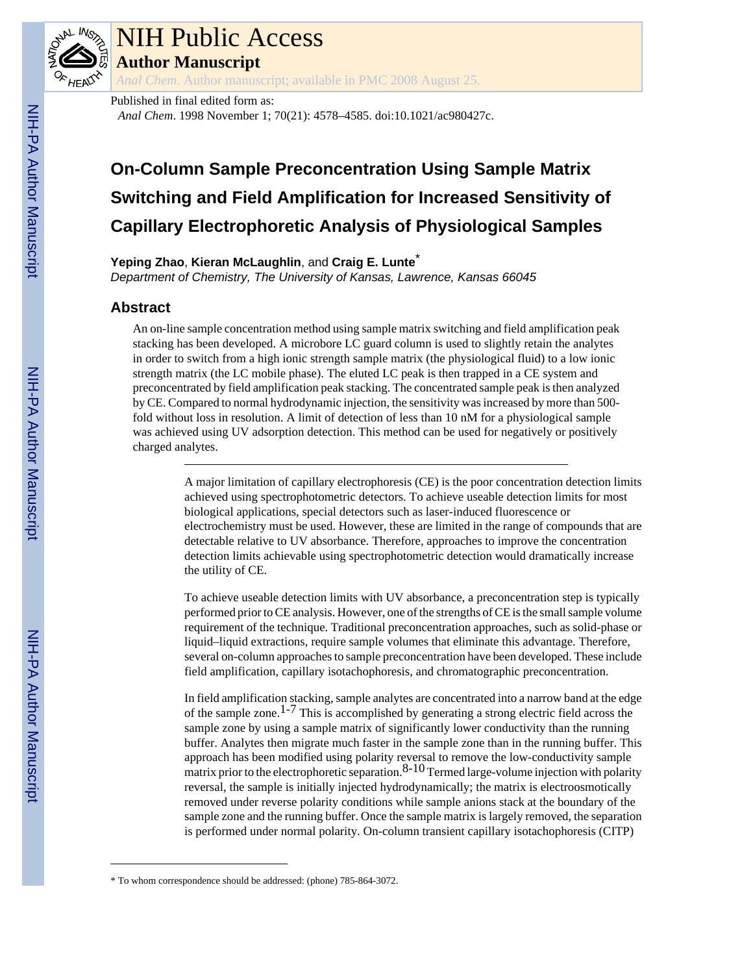

# NIH Public Access

**Author Manuscript**

*Anal Chem*. Author manuscript; available in PMC 2008 August 25.

Published in final edited form as:

*Anal Chem*. 1998 November 1; 70(21): 4578–4585. doi:10.1021/ac980427c.

# **On-Column Sample Preconcentration Using Sample Matrix Switching and Field Amplification for Increased Sensitivity of Capillary Electrophoretic Analysis of Physiological Samples**

**Yeping Zhao**, **Kieran McLaughlin**, and **Craig E. Lunte**\* *Department of Chemistry, The University of Kansas, Lawrence, Kansas 66045*

# **Abstract**

An on-line sample concentration method using sample matrix switching and field amplification peak stacking has been developed. A microbore LC guard column is used to slightly retain the analytes in order to switch from a high ionic strength sample matrix (the physiological fluid) to a low ionic strength matrix (the LC mobile phase). The eluted LC peak is then trapped in a CE system and preconcentrated by field amplification peak stacking. The concentrated sample peak is then analyzed by CE. Compared to normal hydrodynamic injection, the sensitivity was increased by more than 500 fold without loss in resolution. A limit of detection of less than 10 nM for a physiological sample was achieved using UV adsorption detection. This method can be used for negatively or positively charged analytes.

> A major limitation of capillary electrophoresis (CE) is the poor concentration detection limits achieved using spectrophotometric detectors. To achieve useable detection limits for most biological applications, special detectors such as laser-induced fluorescence or electrochemistry must be used. However, these are limited in the range of compounds that are detectable relative to UV absorbance. Therefore, approaches to improve the concentration detection limits achievable using spectrophotometric detection would dramatically increase the utility of CE.

> To achieve useable detection limits with UV absorbance, a preconcentration step is typically performed prior to CE analysis. However, one of the strengths of CE is the small sample volume requirement of the technique. Traditional preconcentration approaches, such as solid-phase or liquid–liquid extractions, require sample volumes that eliminate this advantage. Therefore, several on-column approaches to sample preconcentration have been developed. These include field amplification, capillary isotachophoresis, and chromatographic preconcentration.

> In field amplification stacking, sample analytes are concentrated into a narrow band at the edge of the sample zone.<sup>1-7</sup> This is accomplished by generating a strong electric field across the sample zone by using a sample matrix of significantly lower conductivity than the running buffer. Analytes then migrate much faster in the sample zone than in the running buffer. This approach has been modified using polarity reversal to remove the low-conductivity sample matrix prior to the electrophoretic separation.<sup>8-10</sup> Termed large-volume injection with polarity reversal, the sample is initially injected hydrodynamically; the matrix is electroosmotically removed under reverse polarity conditions while sample anions stack at the boundary of the sample zone and the running buffer. Once the sample matrix is largely removed, the separation is performed under normal polarity. On-column transient capillary isotachophoresis (CITP)

<sup>\*</sup> To whom correspondence should be addressed: (phone) 785-864-3072.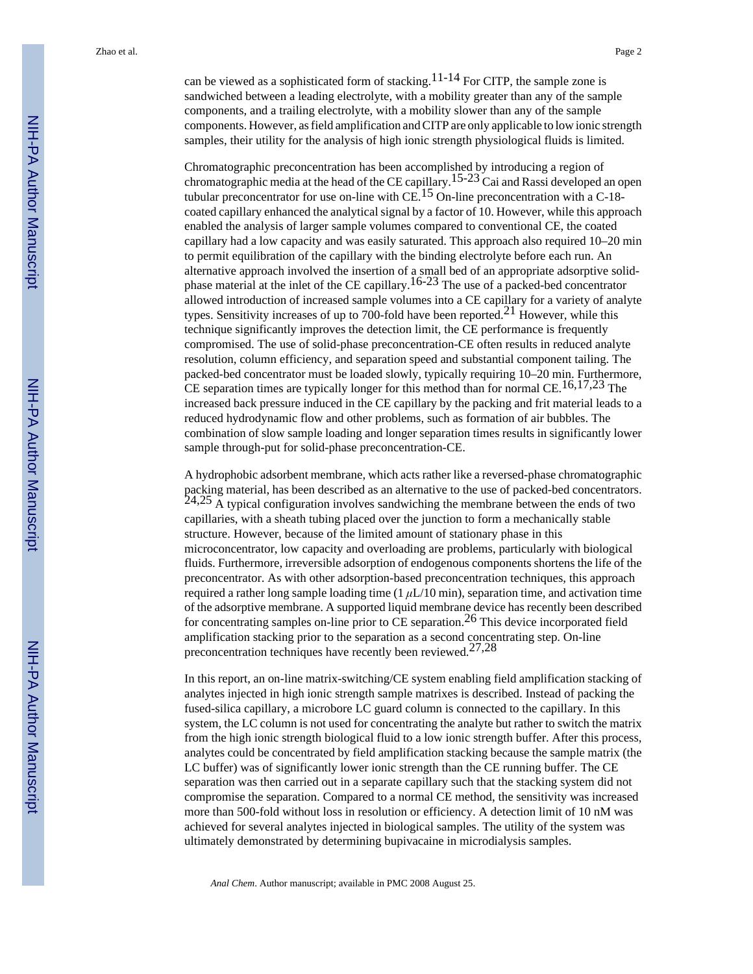can be viewed as a sophisticated form of stacking.<sup>11-14</sup> For CITP, the sample zone is sandwiched between a leading electrolyte, with a mobility greater than any of the sample components, and a trailing electrolyte, with a mobility slower than any of the sample components. However, as field amplification and CITP are only applicable to low ionic strength samples, their utility for the analysis of high ionic strength physiological fluids is limited.

Chromatographic preconcentration has been accomplished by introducing a region of chromatographic media at the head of the CE capillary.<sup>15-23</sup> Cai and Rassi developed an open tubular preconcentrator for use on-line with  $CE$ .<sup>15</sup> On-line preconcentration with a C-18coated capillary enhanced the analytical signal by a factor of 10. However, while this approach enabled the analysis of larger sample volumes compared to conventional CE, the coated capillary had a low capacity and was easily saturated. This approach also required 10–20 min to permit equilibration of the capillary with the binding electrolyte before each run. An alternative approach involved the insertion of a small bed of an appropriate adsorptive solidphase material at the inlet of the CE capillary.<sup>16-23</sup> The use of a packed-bed concentrator allowed introduction of increased sample volumes into a CE capillary for a variety of analyte types. Sensitivity increases of up to 700-fold have been reported.<sup>21</sup> However, while this technique significantly improves the detection limit, the CE performance is frequently compromised. The use of solid-phase preconcentration-CE often results in reduced analyte resolution, column efficiency, and separation speed and substantial component tailing. The packed-bed concentrator must be loaded slowly, typically requiring 10–20 min. Furthermore, CE separation times are typically longer for this method than for normal CE.  $^{16,17,23}$  The increased back pressure induced in the CE capillary by the packing and frit material leads to a reduced hydrodynamic flow and other problems, such as formation of air bubbles. The combination of slow sample loading and longer separation times results in significantly lower sample through-put for solid-phase preconcentration-CE.

A hydrophobic adsorbent membrane, which acts rather like a reversed-phase chromatographic packing material, has been described as an alternative to the use of packed-bed concentrators.  $24,25$  A typical configuration involves sandwiching the membrane between the ends of two capillaries, with a sheath tubing placed over the junction to form a mechanically stable structure. However, because of the limited amount of stationary phase in this microconcentrator, low capacity and overloading are problems, particularly with biological fluids. Furthermore, irreversible adsorption of endogenous components shortens the life of the preconcentrator. As with other adsorption-based preconcentration techniques, this approach required a rather long sample loading time  $(1 \mu L/10 \text{ min})$ , separation time, and activation time of the adsorptive membrane. A supported liquid membrane device has recently been described for concentrating samples on-line prior to  $CE$  separation.<sup>26</sup> This device incorporated field amplification stacking prior to the separation as a second concentrating step. On-line preconcentration techniques have recently been reviewed.27,28

In this report, an on-line matrix-switching/CE system enabling field amplification stacking of analytes injected in high ionic strength sample matrixes is described. Instead of packing the fused-silica capillary, a microbore LC guard column is connected to the capillary. In this system, the LC column is not used for concentrating the analyte but rather to switch the matrix from the high ionic strength biological fluid to a low ionic strength buffer. After this process, analytes could be concentrated by field amplification stacking because the sample matrix (the LC buffer) was of significantly lower ionic strength than the CE running buffer. The CE separation was then carried out in a separate capillary such that the stacking system did not compromise the separation. Compared to a normal CE method, the sensitivity was increased more than 500-fold without loss in resolution or efficiency. A detection limit of 10 nM was achieved for several analytes injected in biological samples. The utility of the system was ultimately demonstrated by determining bupivacaine in microdialysis samples.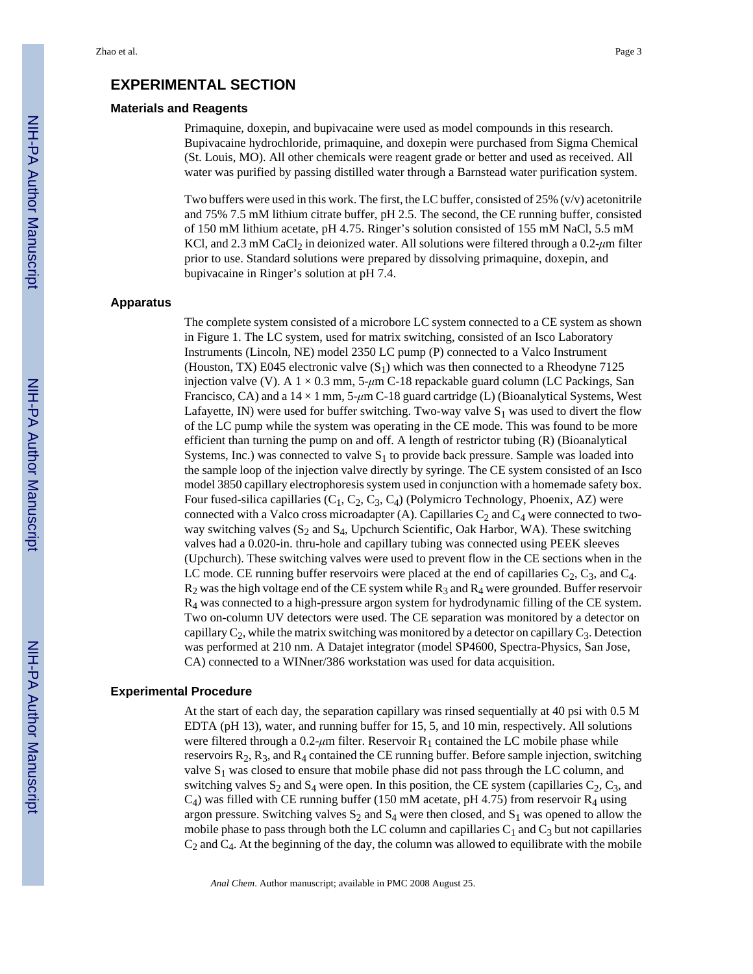# **Materials and Reagents**

Primaquine, doxepin, and bupivacaine were used as model compounds in this research. Bupivacaine hydrochloride, primaquine, and doxepin were purchased from Sigma Chemical (St. Louis, MO). All other chemicals were reagent grade or better and used as received. All water was purified by passing distilled water through a Barnstead water purification system.

Two buffers were used in this work. The first, the LC buffer, consisted of  $25\%$  (v/v) acetonitrile and 75% 7.5 mM lithium citrate buffer, pH 2.5. The second, the CE running buffer, consisted of 150 mM lithium acetate, pH 4.75. Ringer's solution consisted of 155 mM NaCl, 5.5 mM KCl, and 2.3 mM CaCl<sub>2</sub> in deionized water. All solutions were filtered through a 0.2-μm filter prior to use. Standard solutions were prepared by dissolving primaquine, doxepin, and bupivacaine in Ringer's solution at pH 7.4.

# **Apparatus**

The complete system consisted of a microbore LC system connected to a CE system as shown in Figure 1. The LC system, used for matrix switching, consisted of an Isco Laboratory Instruments (Lincoln, NE) model 2350 LC pump (P) connected to a Valco Instrument (Houston, TX) E045 electronic valve  $(S_1)$  which was then connected to a Rheodyne 7125 injection valve (V). A 1 × 0.3 mm, 5-*μ*m C-18 repackable guard column (LC Packings, San Francisco, CA) and a 14 × 1 mm, 5-*μ*m C-18 guard cartridge (L) (Bioanalytical Systems, West Lafayette, IN) were used for buffer switching. Two-way valve  $S_1$  was used to divert the flow of the LC pump while the system was operating in the CE mode. This was found to be more efficient than turning the pump on and off. A length of restrictor tubing (R) (Bioanalytical Systems, Inc.) was connected to valve  $S_1$  to provide back pressure. Sample was loaded into the sample loop of the injection valve directly by syringe. The CE system consisted of an Isco model 3850 capillary electrophoresis system used in conjunction with a homemade safety box. Four fused-silica capillaries  $(C_1, C_2, C_3, C_4)$  (Polymicro Technology, Phoenix, AZ) were connected with a Valco cross microadapter (A). Capillaries  $C_2$  and  $C_4$  were connected to twoway switching valves ( $S_2$  and  $S_4$ , Upchurch Scientific, Oak Harbor, WA). These switching valves had a 0.020-in. thru-hole and capillary tubing was connected using PEEK sleeves (Upchurch). These switching valves were used to prevent flow in the CE sections when in the LC mode. CE running buffer reservoirs were placed at the end of capillaries  $C_2$ ,  $C_3$ , and  $C_4$ .  $R_2$  was the high voltage end of the CE system while  $R_3$  and  $R_4$  were grounded. Buffer reservoir R4 was connected to a high-pressure argon system for hydrodynamic filling of the CE system. Two on-column UV detectors were used. The CE separation was monitored by a detector on capillary  $C_2$ , while the matrix switching was monitored by a detector on capillary  $C_3$ . Detection was performed at 210 nm. A Datajet integrator (model SP4600, Spectra-Physics, San Jose, CA) connected to a WINner/386 workstation was used for data acquisition.

#### **Experimental Procedure**

At the start of each day, the separation capillary was rinsed sequentially at 40 psi with 0.5 M EDTA (pH 13), water, and running buffer for 15, 5, and 10 min, respectively. All solutions were filtered through a  $0.2$ - $\mu$ m filter. Reservoir R<sub>1</sub> contained the LC mobile phase while reservoirs  $R_2$ ,  $R_3$ , and  $R_4$  contained the CE running buffer. Before sample injection, switching valve  $S_1$  was closed to ensure that mobile phase did not pass through the LC column, and switching valves  $S_2$  and  $S_4$  were open. In this position, the CE system (capillaries  $C_2$ ,  $C_3$ , and  $C_4$ ) was filled with CE running buffer (150 mM acetate, pH 4.75) from reservoir R<sub>4</sub> using argon pressure. Switching valves  $S_2$  and  $S_4$  were then closed, and  $S_1$  was opened to allow the mobile phase to pass through both the LC column and capillaries  $C_1$  and  $C_3$  but not capillaries  $C_2$  and  $C_4$ . At the beginning of the day, the column was allowed to equilibrate with the mobile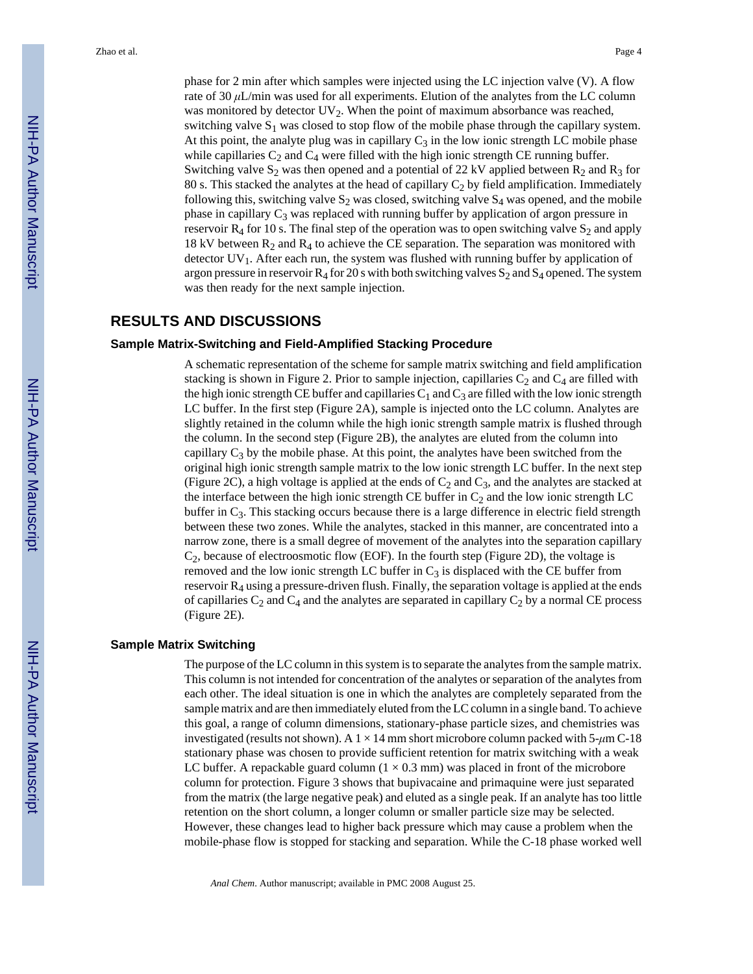phase for 2 min after which samples were injected using the LC injection valve (V). A flow rate of 30 *μ*L/min was used for all experiments. Elution of the analytes from the LC column was monitored by detector  $UV_2$ . When the point of maximum absorbance was reached, switching valve  $S_1$  was closed to stop flow of the mobile phase through the capillary system. At this point, the analyte plug was in capillary  $C_3$  in the low ionic strength LC mobile phase while capillaries  $C_2$  and  $C_4$  were filled with the high ionic strength CE running buffer. Switching valve S<sub>2</sub> was then opened and a potential of 22 kV applied between R<sub>2</sub> and R<sub>3</sub> for 80 s. This stacked the analytes at the head of capillary  $C_2$  by field amplification. Immediately following this, switching valve  $S_2$  was closed, switching valve  $S_4$  was opened, and the mobile phase in capillary  $C_3$  was replaced with running buffer by application of argon pressure in reservoir  $R_4$  for 10 s. The final step of the operation was to open switching valve  $S_2$  and apply 18 kV between  $R_2$  and  $R_4$  to achieve the CE separation. The separation was monitored with detector  $UV_1$ . After each run, the system was flushed with running buffer by application of argon pressure in reservoir  $R_4$  for 20 s with both switching valves  $S_2$  and  $S_4$  opened. The system was then ready for the next sample injection.

# **RESULTS AND DISCUSSIONS**

#### **Sample Matrix-Switching and Field-Amplified Stacking Procedure**

A schematic representation of the scheme for sample matrix switching and field amplification stacking is shown in Figure 2. Prior to sample injection, capillaries  $C_2$  and  $C_4$  are filled with the high ionic strength CE buffer and capillaries  $C_1$  and  $C_3$  are filled with the low ionic strength LC buffer. In the first step (Figure 2A), sample is injected onto the LC column. Analytes are slightly retained in the column while the high ionic strength sample matrix is flushed through the column. In the second step (Figure 2B), the analytes are eluted from the column into capillary  $C_3$  by the mobile phase. At this point, the analytes have been switched from the original high ionic strength sample matrix to the low ionic strength LC buffer. In the next step (Figure 2C), a high voltage is applied at the ends of  $C_2$  and  $C_3$ , and the analytes are stacked at the interface between the high ionic strength CE buffer in  $C_2$  and the low ionic strength LC buffer in  $C_3$ . This stacking occurs because there is a large difference in electric field strength between these two zones. While the analytes, stacked in this manner, are concentrated into a narrow zone, there is a small degree of movement of the analytes into the separation capillary  $C<sub>2</sub>$ , because of electroosmotic flow (EOF). In the fourth step (Figure 2D), the voltage is removed and the low ionic strength LC buffer in  $C_3$  is displaced with the CE buffer from reservoir R4 using a pressure-driven flush. Finally, the separation voltage is applied at the ends of capillaries  $C_2$  and  $C_4$  and the analytes are separated in capillary  $C_2$  by a normal CE process (Figure 2E).

#### **Sample Matrix Switching**

The purpose of the LC column in this system is to separate the analytes from the sample matrix. This column is not intended for concentration of the analytes or separation of the analytes from each other. The ideal situation is one in which the analytes are completely separated from the sample matrix and are then immediately eluted from the LC column in a single band. To achieve this goal, a range of column dimensions, stationary-phase particle sizes, and chemistries was investigated (results not shown). A  $1 \times 14$  mm short microbore column packed with  $5-\mu$ m C-18 stationary phase was chosen to provide sufficient retention for matrix switching with a weak LC buffer. A repackable guard column  $(1 \times 0.3 \text{ mm})$  was placed in front of the microbore column for protection. Figure 3 shows that bupivacaine and primaquine were just separated from the matrix (the large negative peak) and eluted as a single peak. If an analyte has too little retention on the short column, a longer column or smaller particle size may be selected. However, these changes lead to higher back pressure which may cause a problem when the mobile-phase flow is stopped for stacking and separation. While the C-18 phase worked well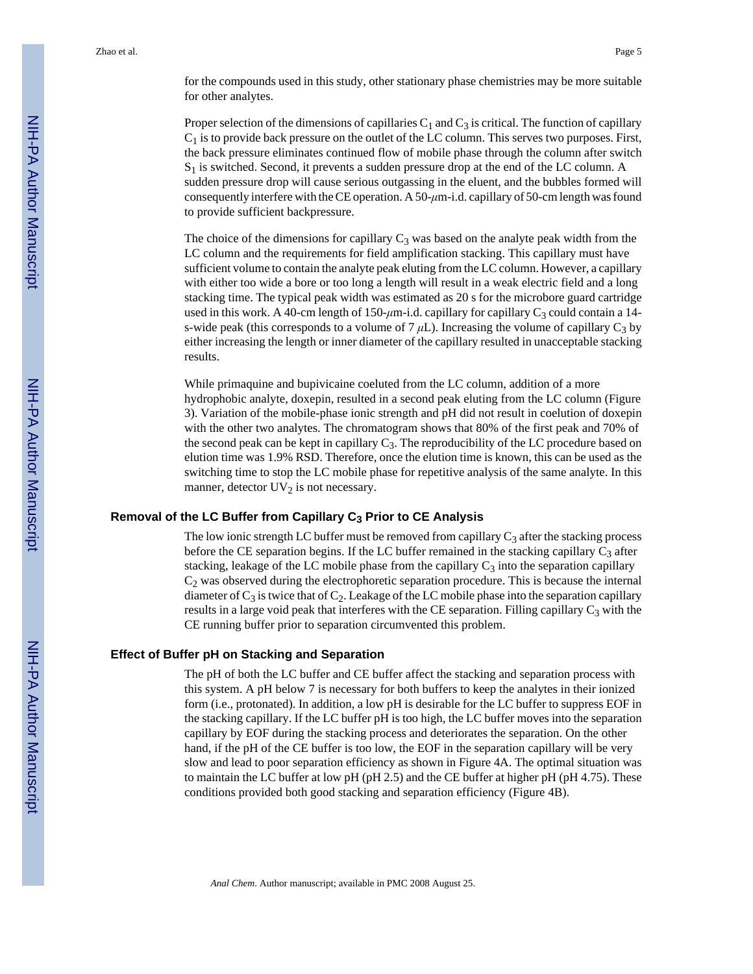for the compounds used in this study, other stationary phase chemistries may be more suitable for other analytes.

Proper selection of the dimensions of capillaries C<sub>1</sub> and C<sub>3</sub> is critical. The function of capillary  $C_1$  is to provide back pressure on the outlet of the LC column. This serves two purposes. First, the back pressure eliminates continued flow of mobile phase through the column after switch  $S_1$  is switched. Second, it prevents a sudden pressure drop at the end of the LC column. A sudden pressure drop will cause serious outgassing in the eluent, and the bubbles formed will consequently interfere with the CE operation. A 50-*μ*m-i.d. capillary of 50-cm length was found to provide sufficient backpressure.

The choice of the dimensions for capillary  $C_3$  was based on the analyte peak width from the LC column and the requirements for field amplification stacking. This capillary must have sufficient volume to contain the analyte peak eluting from the LC column. However, a capillary with either too wide a bore or too long a length will result in a weak electric field and a long stacking time. The typical peak width was estimated as 20 s for the microbore guard cartridge used in this work. A 40-cm length of  $150$ - $\mu$ m-i.d. capillary for capillary C<sub>3</sub> could contain a 14s-wide peak (this corresponds to a volume of  $7 \mu L$ ). Increasing the volume of capillary C<sub>3</sub> by either increasing the length or inner diameter of the capillary resulted in unacceptable stacking results.

While primaquine and bupivicaine coeluted from the LC column, addition of a more hydrophobic analyte, doxepin, resulted in a second peak eluting from the LC column (Figure 3). Variation of the mobile-phase ionic strength and pH did not result in coelution of doxepin with the other two analytes. The chromatogram shows that 80% of the first peak and 70% of the second peak can be kept in capillary  $C_3$ . The reproducibility of the LC procedure based on elution time was 1.9% RSD. Therefore, once the elution time is known, this can be used as the switching time to stop the LC mobile phase for repetitive analysis of the same analyte. In this manner, detector  $UV_2$  is not necessary.

#### **Removal of the LC Buffer from Capillary C3 Prior to CE Analysis**

The low ionic strength LC buffer must be removed from capillary  $C_3$  after the stacking process before the CE separation begins. If the LC buffer remained in the stacking capillary  $C_3$  after stacking, leakage of the LC mobile phase from the capillary  $C_3$  into the separation capillary  $C_2$  was observed during the electrophoretic separation procedure. This is because the internal diameter of  $C_3$  is twice that of  $C_2$ . Leakage of the LC mobile phase into the separation capillary results in a large void peak that interferes with the CE separation. Filling capillary  $C_3$  with the CE running buffer prior to separation circumvented this problem.

#### **Effect of Buffer pH on Stacking and Separation**

The pH of both the LC buffer and CE buffer affect the stacking and separation process with this system. A pH below 7 is necessary for both buffers to keep the analytes in their ionized form (i.e., protonated). In addition, a low pH is desirable for the LC buffer to suppress EOF in the stacking capillary. If the LC buffer pH is too high, the LC buffer moves into the separation capillary by EOF during the stacking process and deteriorates the separation. On the other hand, if the pH of the CE buffer is too low, the EOF in the separation capillary will be very slow and lead to poor separation efficiency as shown in Figure 4A. The optimal situation was to maintain the LC buffer at low pH (pH  $2.5$ ) and the CE buffer at higher pH (pH  $4.75$ ). These conditions provided both good stacking and separation efficiency (Figure 4B).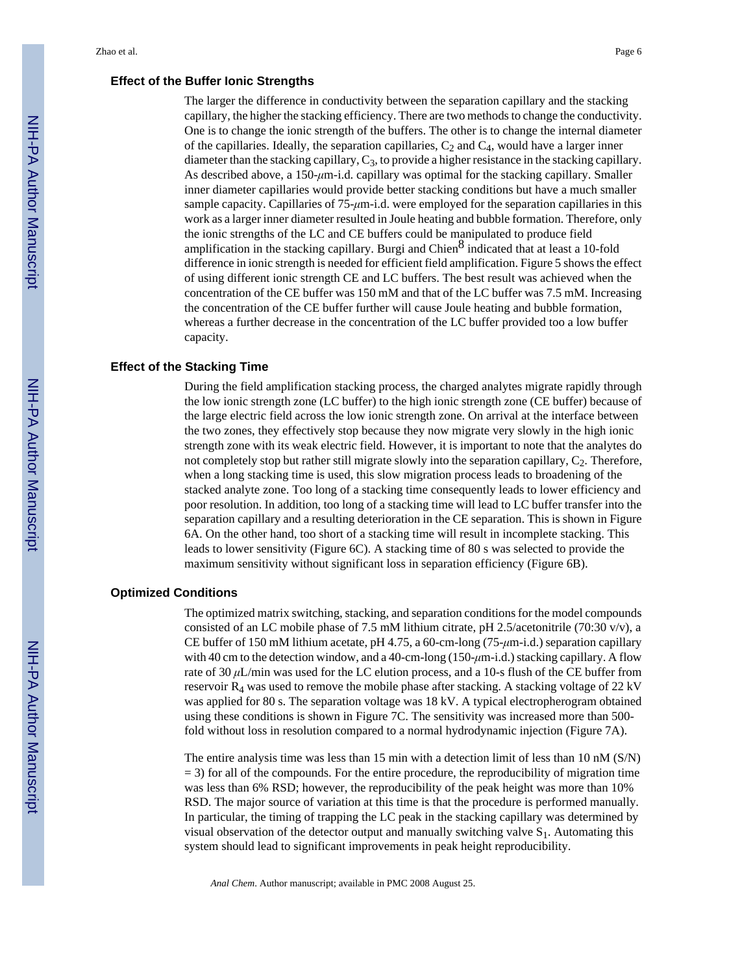# **Effect of the Buffer Ionic Strengths**

The larger the difference in conductivity between the separation capillary and the stacking capillary, the higher the stacking efficiency. There are two methods to change the conductivity. One is to change the ionic strength of the buffers. The other is to change the internal diameter of the capillaries. Ideally, the separation capillaries,  $C_2$  and  $C_4$ , would have a larger inner diameter than the stacking capillary,  $C_3$ , to provide a higher resistance in the stacking capillary. As described above, a 150-*μ*m-i.d. capillary was optimal for the stacking capillary. Smaller inner diameter capillaries would provide better stacking conditions but have a much smaller sample capacity. Capillaries of 75-*μ*m-i.d. were employed for the separation capillaries in this work as a larger inner diameter resulted in Joule heating and bubble formation. Therefore, only the ionic strengths of the LC and CE buffers could be manipulated to produce field amplification in the stacking capillary. Burgi and  $Chien<sup>8</sup>$  indicated that at least a 10-fold difference in ionic strength is needed for efficient field amplification. Figure 5 shows the effect of using different ionic strength CE and LC buffers. The best result was achieved when the concentration of the CE buffer was 150 mM and that of the LC buffer was 7.5 mM. Increasing the concentration of the CE buffer further will cause Joule heating and bubble formation, whereas a further decrease in the concentration of the LC buffer provided too a low buffer capacity.

#### **Effect of the Stacking Time**

During the field amplification stacking process, the charged analytes migrate rapidly through the low ionic strength zone (LC buffer) to the high ionic strength zone (CE buffer) because of the large electric field across the low ionic strength zone. On arrival at the interface between the two zones, they effectively stop because they now migrate very slowly in the high ionic strength zone with its weak electric field. However, it is important to note that the analytes do not completely stop but rather still migrate slowly into the separation capillary,  $C_2$ . Therefore, when a long stacking time is used, this slow migration process leads to broadening of the stacked analyte zone. Too long of a stacking time consequently leads to lower efficiency and poor resolution. In addition, too long of a stacking time will lead to LC buffer transfer into the separation capillary and a resulting deterioration in the CE separation. This is shown in Figure 6A. On the other hand, too short of a stacking time will result in incomplete stacking. This leads to lower sensitivity (Figure 6C). A stacking time of 80 s was selected to provide the maximum sensitivity without significant loss in separation efficiency (Figure 6B).

#### **Optimized Conditions**

The optimized matrix switching, stacking, and separation conditions for the model compounds consisted of an LC mobile phase of 7.5 mM lithium citrate, pH 2.5/acetonitrile (70:30 v/v), a CE buffer of 150 mM lithium acetate, pH 4.75, a 60-cm-long (75-*μ*m-i.d.) separation capillary with 40 cm to the detection window, and a 40-cm-long (150-*μ*m-i.d.) stacking capillary. A flow rate of 30 *μ*L/min was used for the LC elution process, and a 10-s flush of the CE buffer from reservoir R4 was used to remove the mobile phase after stacking. A stacking voltage of 22 kV was applied for 80 s. The separation voltage was 18 kV. A typical electropherogram obtained using these conditions is shown in Figure 7C. The sensitivity was increased more than 500 fold without loss in resolution compared to a normal hydrodynamic injection (Figure 7A).

The entire analysis time was less than 15 min with a detection limit of less than 10 nM (S/N)  $=$  3) for all of the compounds. For the entire procedure, the reproducibility of migration time was less than 6% RSD; however, the reproducibility of the peak height was more than 10% RSD. The major source of variation at this time is that the procedure is performed manually. In particular, the timing of trapping the LC peak in the stacking capillary was determined by visual observation of the detector output and manually switching valve  $S_1$ . Automating this system should lead to significant improvements in peak height reproducibility.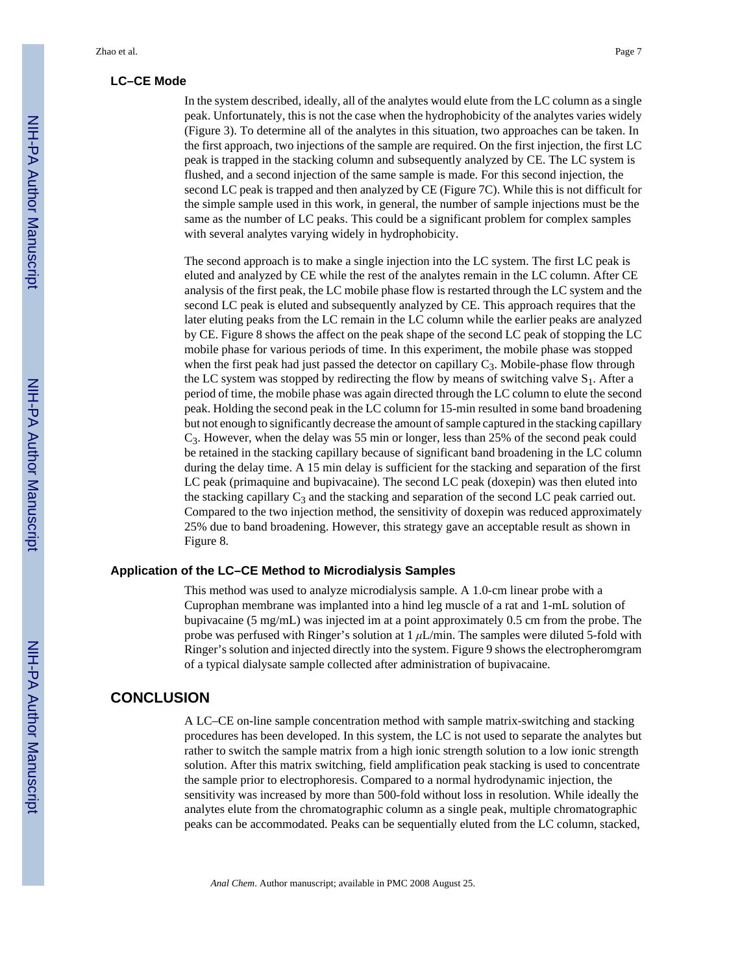# **LC–CE Mode**

In the system described, ideally, all of the analytes would elute from the LC column as a single peak. Unfortunately, this is not the case when the hydrophobicity of the analytes varies widely (Figure 3). To determine all of the analytes in this situation, two approaches can be taken. In the first approach, two injections of the sample are required. On the first injection, the first LC peak is trapped in the stacking column and subsequently analyzed by CE. The LC system is flushed, and a second injection of the same sample is made. For this second injection, the second LC peak is trapped and then analyzed by CE (Figure 7C). While this is not difficult for the simple sample used in this work, in general, the number of sample injections must be the same as the number of LC peaks. This could be a significant problem for complex samples with several analytes varying widely in hydrophobicity.

The second approach is to make a single injection into the LC system. The first LC peak is eluted and analyzed by CE while the rest of the analytes remain in the LC column. After CE analysis of the first peak, the LC mobile phase flow is restarted through the LC system and the second LC peak is eluted and subsequently analyzed by CE. This approach requires that the later eluting peaks from the LC remain in the LC column while the earlier peaks are analyzed by CE. Figure 8 shows the affect on the peak shape of the second LC peak of stopping the LC mobile phase for various periods of time. In this experiment, the mobile phase was stopped when the first peak had just passed the detector on capillary  $C_3$ . Mobile-phase flow through the LC system was stopped by redirecting the flow by means of switching valve  $S_1$ . After a period of time, the mobile phase was again directed through the LC column to elute the second peak. Holding the second peak in the LC column for 15-min resulted in some band broadening but not enough to significantly decrease the amount of sample captured in the stacking capillary C3. However, when the delay was 55 min or longer, less than 25% of the second peak could be retained in the stacking capillary because of significant band broadening in the LC column during the delay time. A 15 min delay is sufficient for the stacking and separation of the first LC peak (primaquine and bupivacaine). The second LC peak (doxepin) was then eluted into the stacking capillary  $C_3$  and the stacking and separation of the second LC peak carried out. Compared to the two injection method, the sensitivity of doxepin was reduced approximately 25% due to band broadening. However, this strategy gave an acceptable result as shown in Figure 8.

#### **Application of the LC–CE Method to Microdialysis Samples**

This method was used to analyze microdialysis sample. A 1.0-cm linear probe with a Cuprophan membrane was implanted into a hind leg muscle of a rat and 1-mL solution of bupivacaine (5 mg/mL) was injected im at a point approximately 0.5 cm from the probe. The probe was perfused with Ringer's solution at 1 *μ*L/min. The samples were diluted 5-fold with Ringer's solution and injected directly into the system. Figure 9 shows the electropheromgram of a typical dialysate sample collected after administration of bupivacaine.

# **CONCLUSION**

A LC–CE on-line sample concentration method with sample matrix-switching and stacking procedures has been developed. In this system, the LC is not used to separate the analytes but rather to switch the sample matrix from a high ionic strength solution to a low ionic strength solution. After this matrix switching, field amplification peak stacking is used to concentrate the sample prior to electrophoresis. Compared to a normal hydrodynamic injection, the sensitivity was increased by more than 500-fold without loss in resolution. While ideally the analytes elute from the chromatographic column as a single peak, multiple chromatographic peaks can be accommodated. Peaks can be sequentially eluted from the LC column, stacked,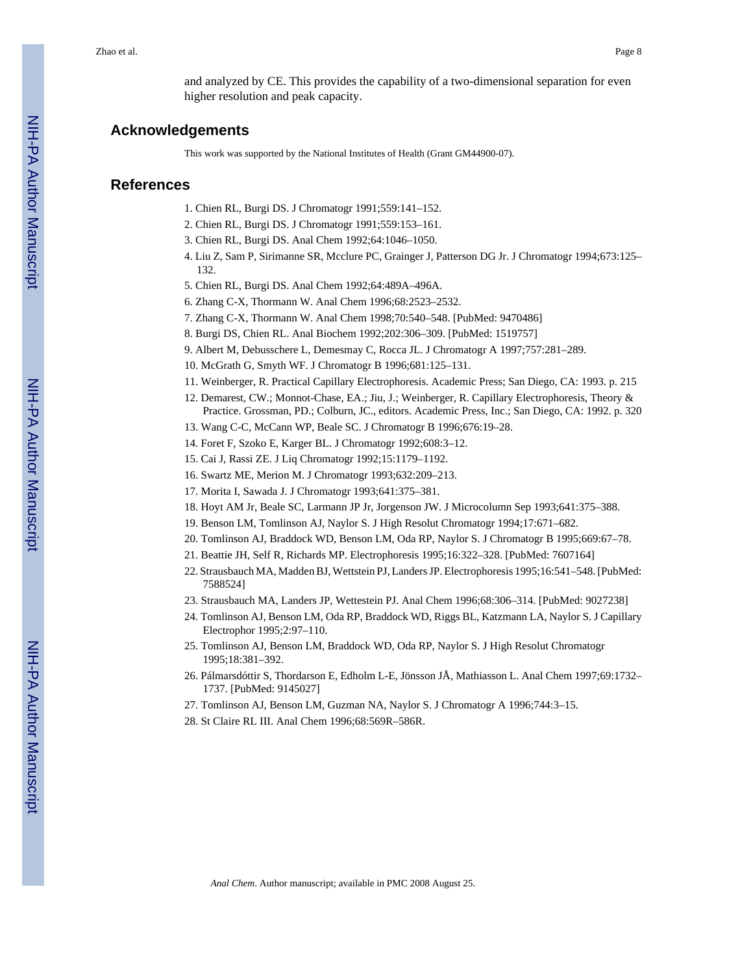and analyzed by CE. This provides the capability of a two-dimensional separation for even higher resolution and peak capacity.

# **Acknowledgements**

This work was supported by the National Institutes of Health (Grant GM44900-07).

#### **References**

- 1. Chien RL, Burgi DS. J Chromatogr 1991;559:141–152.
- 2. Chien RL, Burgi DS. J Chromatogr 1991;559:153–161.
- 3. Chien RL, Burgi DS. Anal Chem 1992;64:1046–1050.
- 4. Liu Z, Sam P, Sirimanne SR, Mcclure PC, Grainger J, Patterson DG Jr. J Chromatogr 1994;673:125– 132.
- 5. Chien RL, Burgi DS. Anal Chem 1992;64:489A–496A.
- 6. Zhang C-X, Thormann W. Anal Chem 1996;68:2523–2532.
- 7. Zhang C-X, Thormann W. Anal Chem 1998;70:540–548. [PubMed: 9470486]
- 8. Burgi DS, Chien RL. Anal Biochem 1992;202:306–309. [PubMed: 1519757]
- 9. Albert M, Debusschere L, Demesmay C, Rocca JL. J Chromatogr A 1997;757:281–289.
- 10. McGrath G, Smyth WF. J Chromatogr B 1996;681:125–131.
- 11. Weinberger, R. Practical Capillary Electrophoresis. Academic Press; San Diego, CA: 1993. p. 215
- 12. Demarest, CW.; Monnot-Chase, EA.; Jiu, J.; Weinberger, R. Capillary Electrophoresis, Theory & Practice. Grossman, PD.; Colburn, JC., editors. Academic Press, Inc.; San Diego, CA: 1992. p. 320
- 13. Wang C-C, McCann WP, Beale SC. J Chromatogr B 1996;676:19–28.
- 14. Foret F, Szoko E, Karger BL. J Chromatogr 1992;608:3–12.
- 15. Cai J, Rassi ZE. J Liq Chromatogr 1992;15:1179–1192.
- 16. Swartz ME, Merion M. J Chromatogr 1993;632:209–213.
- 17. Morita I, Sawada J. J Chromatogr 1993;641:375–381.
- 18. Hoyt AM Jr, Beale SC, Larmann JP Jr, Jorgenson JW. J Microcolumn Sep 1993;641:375–388.
- 19. Benson LM, Tomlinson AJ, Naylor S. J High Resolut Chromatogr 1994;17:671–682.
- 20. Tomlinson AJ, Braddock WD, Benson LM, Oda RP, Naylor S. J Chromatogr B 1995;669:67–78.
- 21. Beattie JH, Self R, Richards MP. Electrophoresis 1995;16:322–328. [PubMed: 7607164]
- 22. Strausbauch MA, Madden BJ, Wettstein PJ, Landers JP. Electrophoresis 1995;16:541–548. [PubMed: 7588524]
- 23. Strausbauch MA, Landers JP, Wettestein PJ. Anal Chem 1996;68:306–314. [PubMed: 9027238]
- 24. Tomlinson AJ, Benson LM, Oda RP, Braddock WD, Riggs BL, Katzmann LA, Naylor S. J Capillary Electrophor 1995;2:97–110.
- 25. Tomlinson AJ, Benson LM, Braddock WD, Oda RP, Naylor S. J High Resolut Chromatogr 1995;18:381–392.
- 26. Pálmarsdóttir S, Thordarson E, Edholm L-E, Jönsson JÅ, Mathiasson L. Anal Chem 1997;69:1732– 1737. [PubMed: 9145027]
- 27. Tomlinson AJ, Benson LM, Guzman NA, Naylor S. J Chromatogr A 1996;744:3–15.
- 28. St Claire RL III. Anal Chem 1996;68:569R–586R.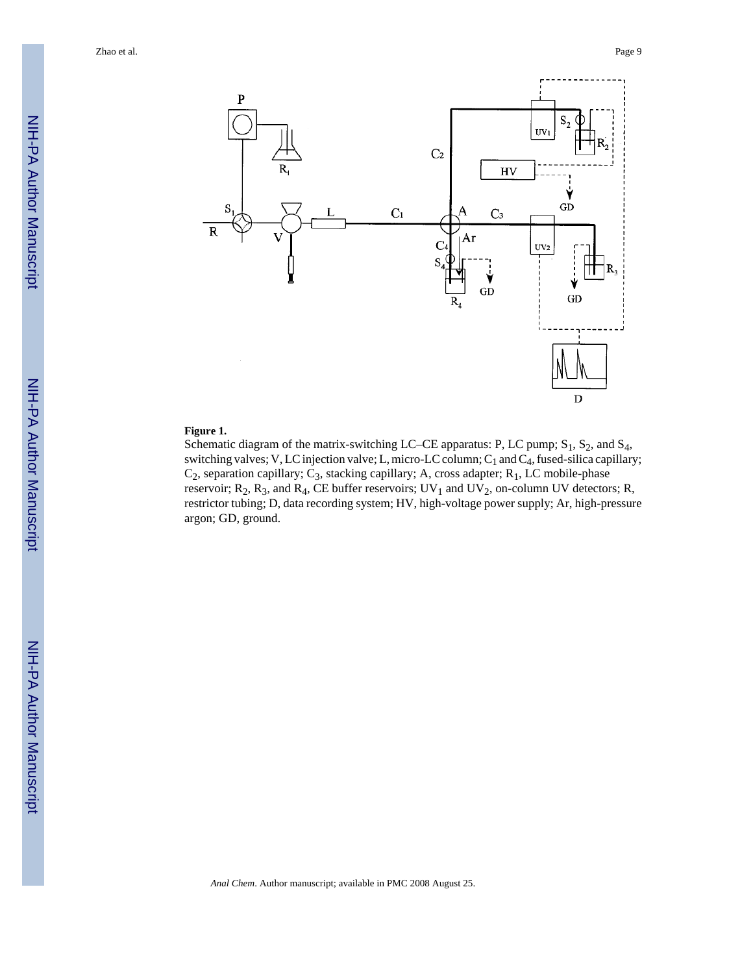

# **Figure 1.**

Schematic diagram of the matrix-switching LC–CE apparatus: P, LC pump;  $S_1$ ,  $S_2$ , and  $S_4$ , switching valves; V, LC injection valve; L, micro-LC column; C<sub>1</sub> and C<sub>4</sub>, fused-silica capillary;  $C_2$ , separation capillary;  $C_3$ , stacking capillary; A, cross adapter; R<sub>1</sub>, LC mobile-phase reservoir;  $R_2$ ,  $R_3$ , and  $R_4$ , CE buffer reservoirs; UV<sub>1</sub> and UV<sub>2</sub>, on-column UV detectors; R, restrictor tubing; D, data recording system; HV, high-voltage power supply; Ar, high-pressure argon; GD, ground.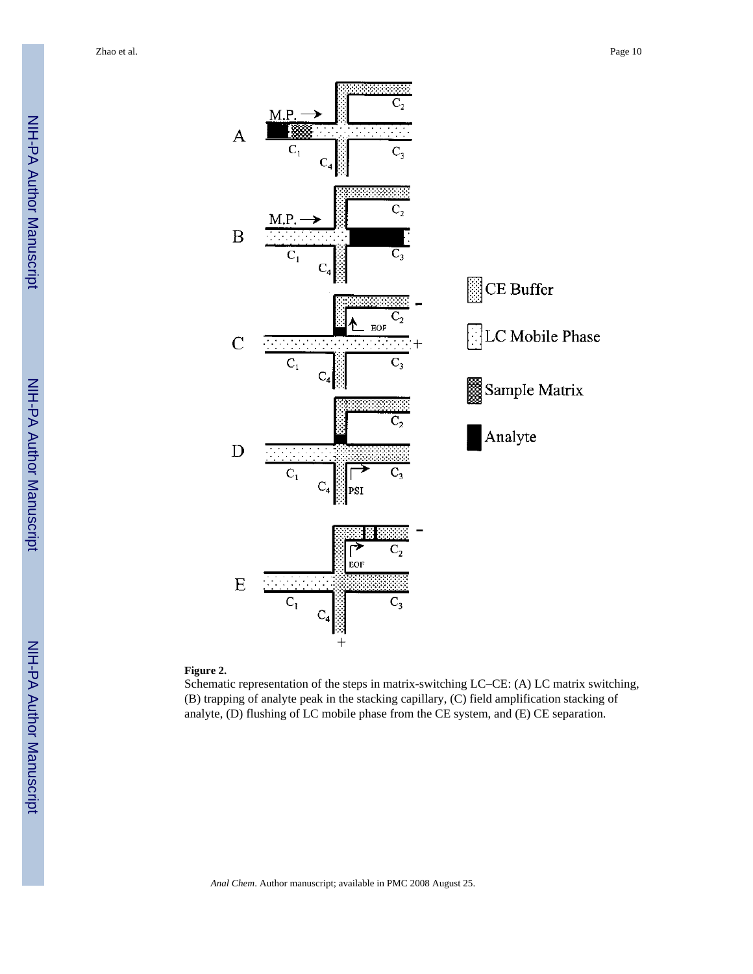Zhao et al. Page 10



# **Figure 2.**

Schematic representation of the steps in matrix-switching LC–CE: (A) LC matrix switching, (B) trapping of analyte peak in the stacking capillary, (C) field amplification stacking of analyte, (D) flushing of LC mobile phase from the CE system, and (E) CE separation.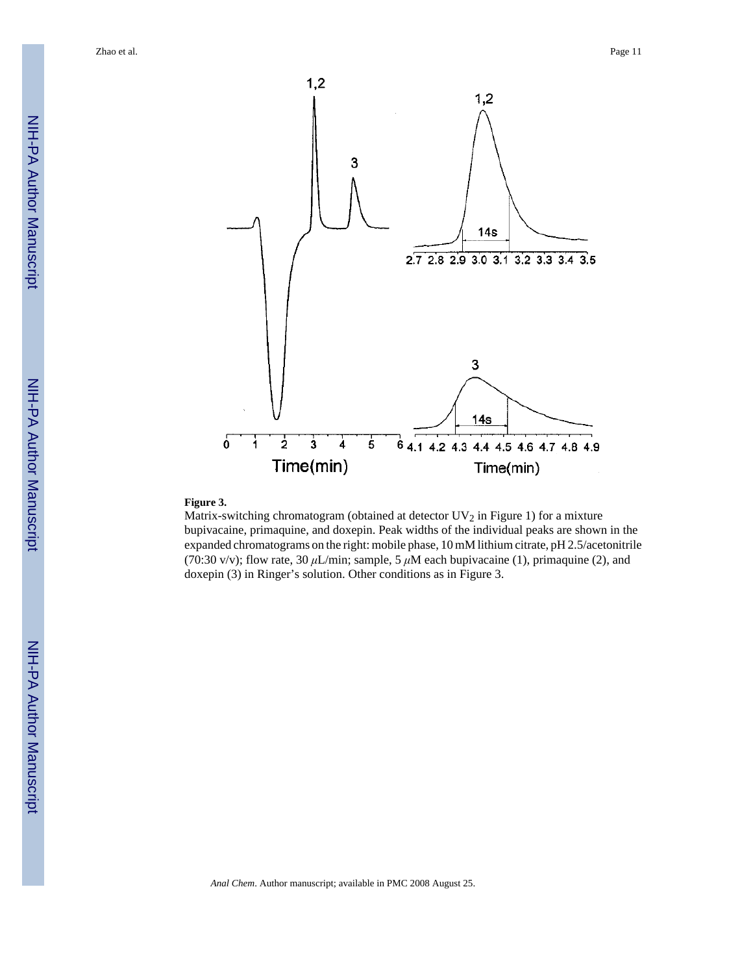

#### **Figure 3.**

Matrix-switching chromatogram (obtained at detector  $UV_2$  in Figure 1) for a mixture bupivacaine, primaquine, and doxepin. Peak widths of the individual peaks are shown in the expanded chromatograms on the right: mobile phase, 10 mM lithium citrate, pH 2.5/acetonitrile (70:30 v/v); flow rate, 30  $\mu$ L/min; sample, 5  $\mu$ M each bupivacaine (1), primaquine (2), and doxepin (3) in Ringer's solution. Other conditions as in Figure 3.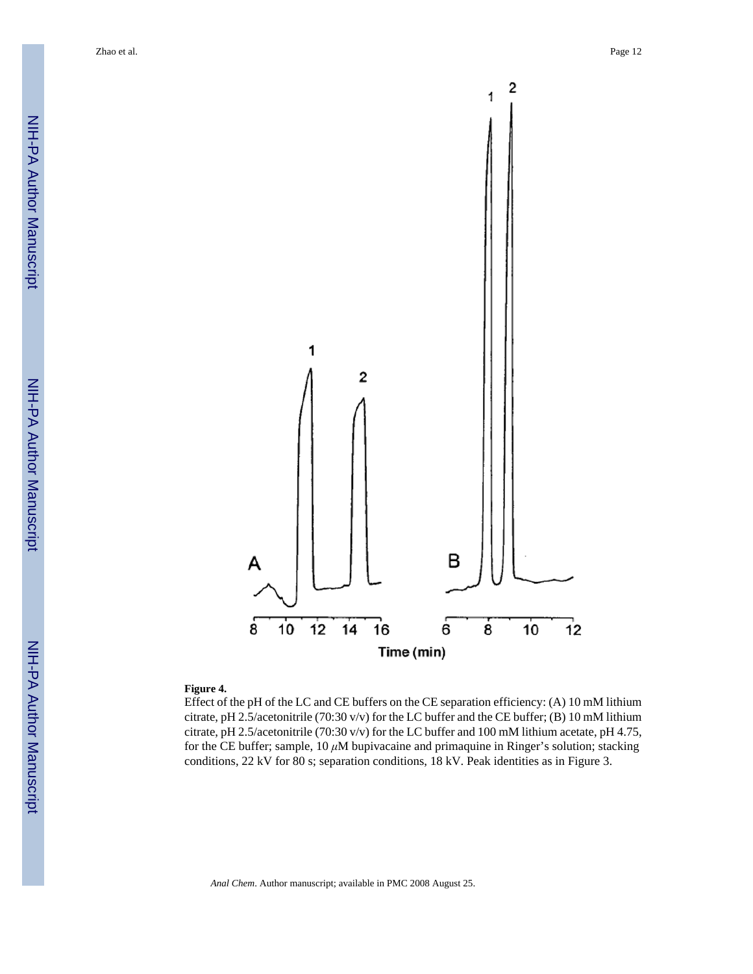

# **Figure 4.**

Effect of the pH of the LC and CE buffers on the CE separation efficiency: (A) 10 mM lithium citrate, pH 2.5/acetonitrile (70:30 v/v) for the LC buffer and the CE buffer; (B) 10 mM lithium citrate, pH 2.5/acetonitrile (70:30 v/v) for the LC buffer and 100 mM lithium acetate, pH 4.75, for the CE buffer; sample, 10 *μ*M bupivacaine and primaquine in Ringer's solution; stacking conditions, 22 kV for 80 s; separation conditions, 18 kV. Peak identities as in Figure 3.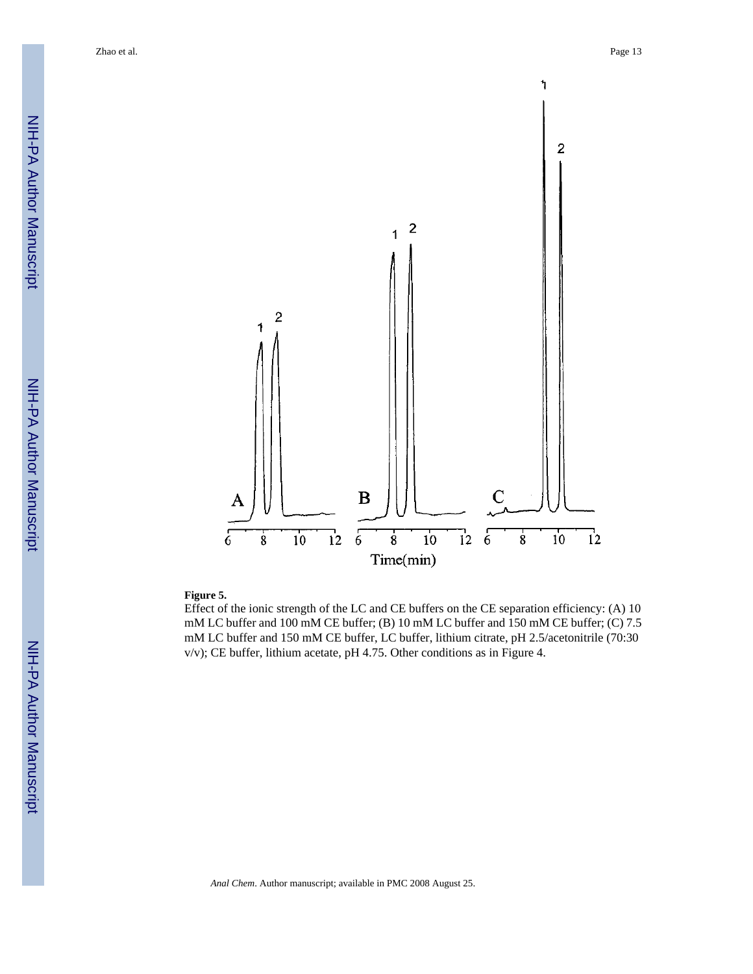1



# **Figure 5.**

Effect of the ionic strength of the LC and CE buffers on the CE separation efficiency: (A) 10 mM LC buffer and 100 mM CE buffer; (B) 10 mM LC buffer and 150 mM CE buffer; (C) 7.5 mM LC buffer and 150 mM CE buffer, LC buffer, lithium citrate, pH 2.5/acetonitrile (70:30 v/v); CE buffer, lithium acetate, pH 4.75. Other conditions as in Figure 4.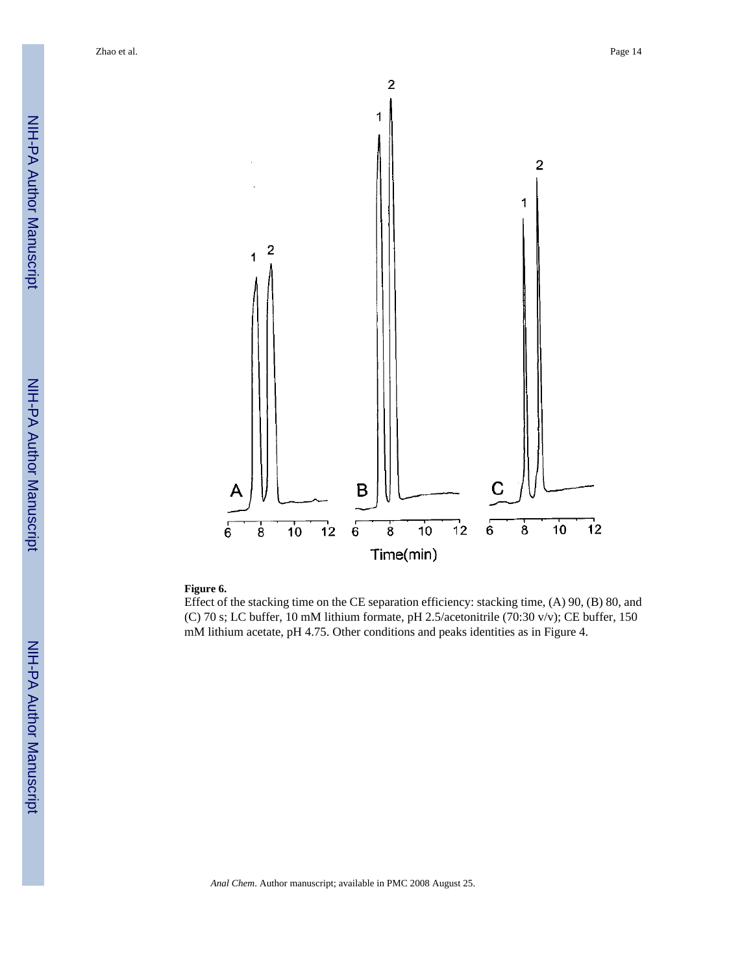

## **Figure 6.**

Effect of the stacking time on the CE separation efficiency: stacking time, (A) 90, (B) 80, and (C) 70 s; LC buffer, 10 mM lithium formate, pH 2.5/acetonitrile (70:30 v/v); CE buffer, 150 mM lithium acetate, pH 4.75. Other conditions and peaks identities as in Figure 4.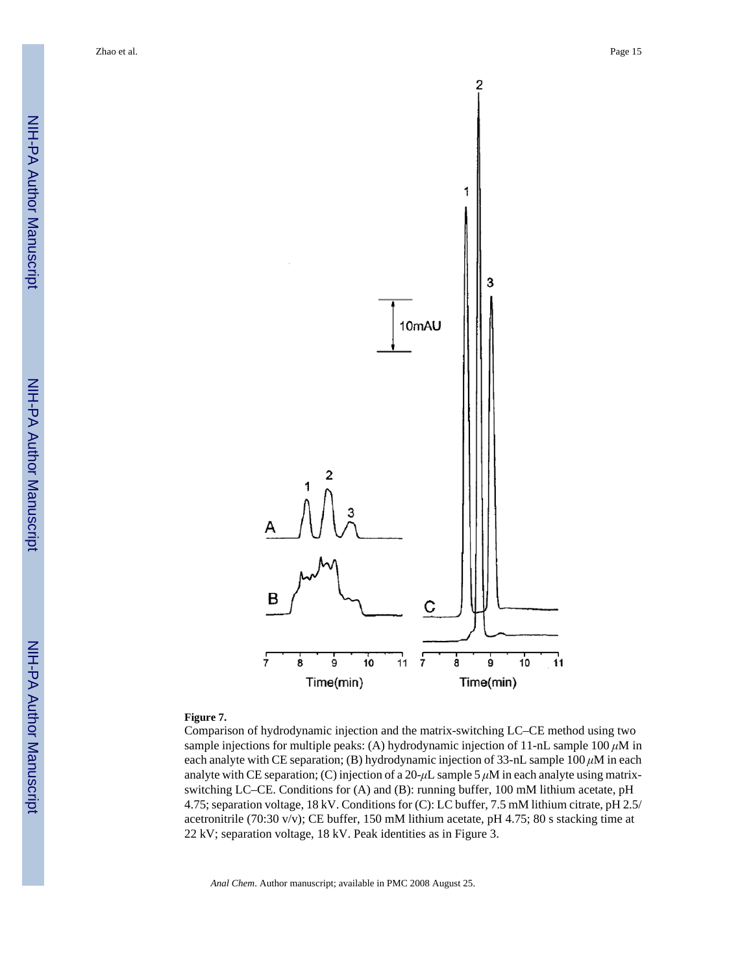

# **Figure 7.**

Comparison of hydrodynamic injection and the matrix-switching LC–CE method using two sample injections for multiple peaks: (A) hydrodynamic injection of 11-nL sample 100 *μ*M in each analyte with CE separation; (B) hydrodynamic injection of 33-nL sample 100 *μ*M in each analyte with CE separation; (C) injection of a 20-*μ*L sample 5 *μ*M in each analyte using matrixswitching LC–CE. Conditions for (A) and (B): running buffer, 100 mM lithium acetate, pH 4.75; separation voltage, 18 kV. Conditions for (C): LC buffer, 7.5 mM lithium citrate, pH 2.5/ acetronitrile (70:30 v/v); CE buffer, 150 mM lithium acetate, pH 4.75; 80 s stacking time at 22 kV; separation voltage, 18 kV. Peak identities as in Figure 3.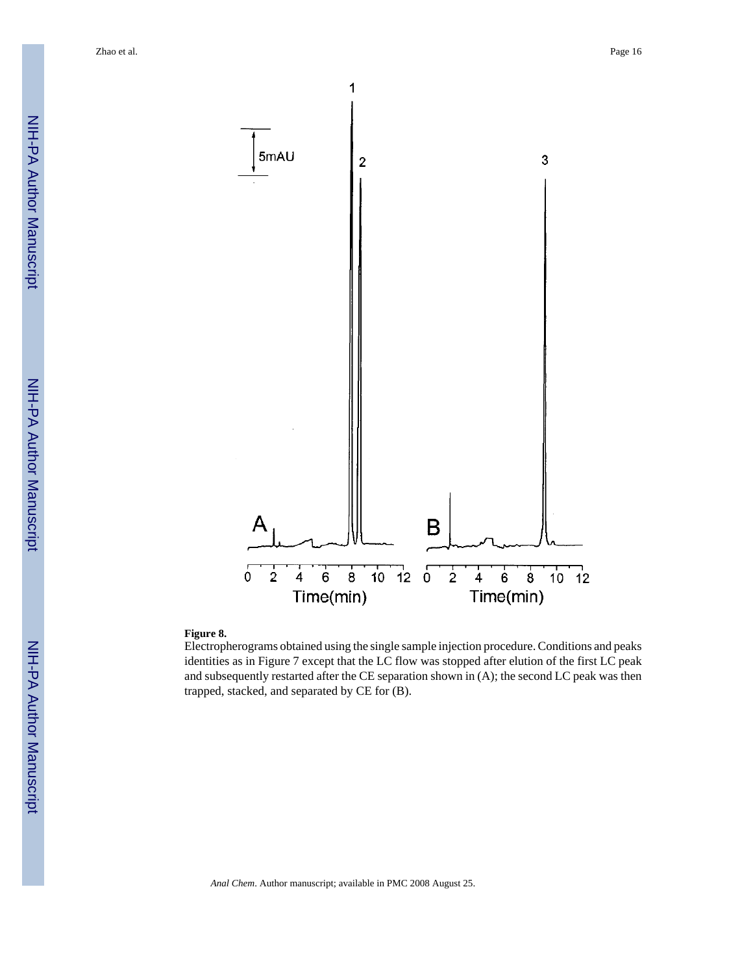

#### **Figure 8.**

Electropherograms obtained using the single sample injection procedure. Conditions and peaks identities as in Figure 7 except that the LC flow was stopped after elution of the first LC peak and subsequently restarted after the CE separation shown in (A); the second LC peak was then trapped, stacked, and separated by CE for (B).